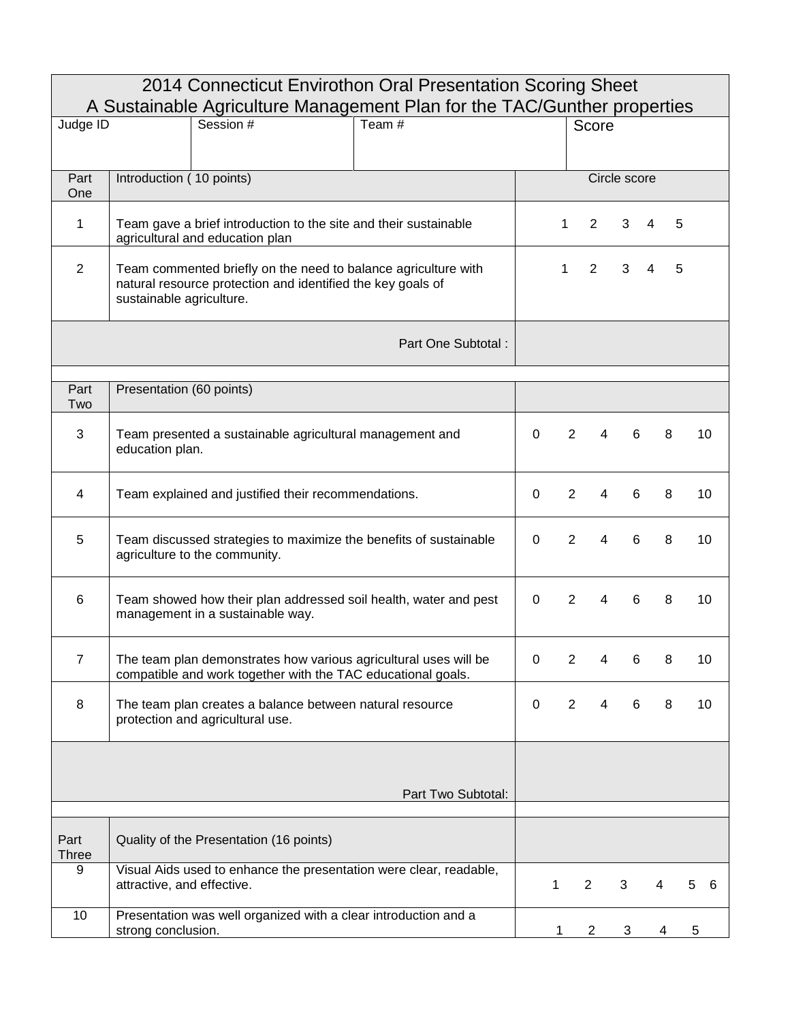| 2014 Connecticut Envirothon Oral Presentation Scoring Sheet<br>A Sustainable Agriculture Management Plan for the TAC/Gunther properties |                                                                                                                                                           |              |                |                                  |   |   |        |  |  |
|-----------------------------------------------------------------------------------------------------------------------------------------|-----------------------------------------------------------------------------------------------------------------------------------------------------------|--------------|----------------|----------------------------------|---|---|--------|--|--|
| Session #<br>Team #<br>Judge ID                                                                                                         |                                                                                                                                                           |              |                | Score                            |   |   |        |  |  |
|                                                                                                                                         |                                                                                                                                                           |              |                |                                  |   |   |        |  |  |
| Part<br>One                                                                                                                             | Introduction (10 points)                                                                                                                                  |              | Circle score   |                                  |   |   |        |  |  |
| 1                                                                                                                                       | Team gave a brief introduction to the site and their sustainable<br>agricultural and education plan                                                       |              | 1              | 2                                | 3 | 4 | 5      |  |  |
| $\overline{2}$                                                                                                                          | Team commented briefly on the need to balance agriculture with<br>natural resource protection and identified the key goals of<br>sustainable agriculture. |              | 1              | 2                                | 3 | 4 | 5      |  |  |
|                                                                                                                                         | Part One Subtotal:                                                                                                                                        |              |                |                                  |   |   |        |  |  |
| Part<br>Two                                                                                                                             | Presentation (60 points)                                                                                                                                  |              |                |                                  |   |   |        |  |  |
| 3                                                                                                                                       | Team presented a sustainable agricultural management and<br>education plan.                                                                               | $\mathbf{0}$ | 2              | 4                                | 6 | 8 | 10     |  |  |
| 4                                                                                                                                       | Team explained and justified their recommendations.                                                                                                       |              |                | $\overline{2}$<br>4              | 6 | 8 | 10     |  |  |
| 5                                                                                                                                       | Team discussed strategies to maximize the benefits of sustainable<br>agriculture to the community.                                                        |              |                | $\overline{2}$<br>4              | 6 | 8 | 10     |  |  |
| $6\phantom{1}6$                                                                                                                         | Team showed how their plan addressed soil health, water and pest<br>management in a sustainable way.                                                      |              |                | $\overline{2}$<br>$\overline{4}$ | 6 | 8 | 10     |  |  |
| $\overline{7}$                                                                                                                          | The team plan demonstrates how various agricultural uses will be<br>compatible and work together with the TAC educational goals.                          | 0            | $\overline{2}$ | 4                                | 6 | 8 | 10     |  |  |
| 8                                                                                                                                       | The team plan creates a balance between natural resource<br>protection and agricultural use.                                                              | 0            | $\overline{2}$ | 4                                | 6 | 8 | 10     |  |  |
|                                                                                                                                         |                                                                                                                                                           |              |                |                                  |   |   |        |  |  |
|                                                                                                                                         | Part Two Subtotal:                                                                                                                                        |              |                |                                  |   |   |        |  |  |
| Part<br><b>Three</b>                                                                                                                    | Quality of the Presentation (16 points)                                                                                                                   |              |                |                                  |   |   |        |  |  |
| 9                                                                                                                                       | Visual Aids used to enhance the presentation were clear, readable,<br>attractive, and effective.                                                          |              | 1              | $\overline{2}$                   | 3 | 4 | 5<br>6 |  |  |
| 10                                                                                                                                      | Presentation was well organized with a clear introduction and a<br>strong conclusion.                                                                     |              | 1              | $\overline{2}$                   | 3 | 4 | 5      |  |  |